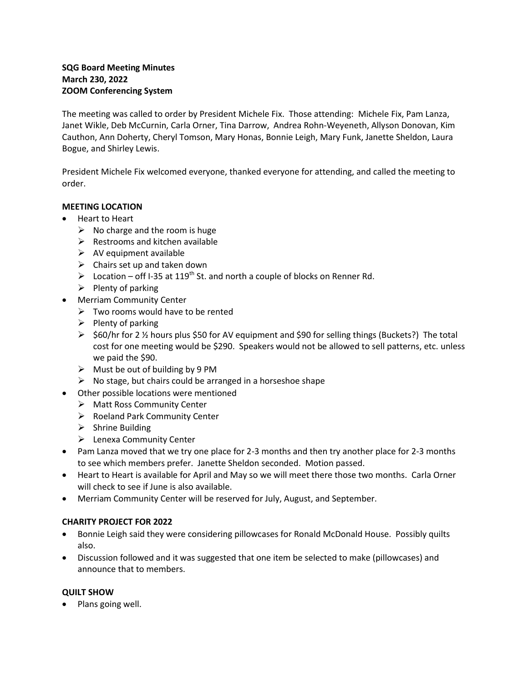## **SQG Board Meeting Minutes March 230, 2022 ZOOM Conferencing System**

The meeting was called to order by President Michele Fix. Those attending: Michele Fix, Pam Lanza, Janet Wikle, Deb McCurnin, Carla Orner, Tina Darrow, Andrea Rohn-Weyeneth, Allyson Donovan, Kim Cauthon, Ann Doherty, Cheryl Tomson, Mary Honas, Bonnie Leigh, Mary Funk, Janette Sheldon, Laura Bogue, and Shirley Lewis.

President Michele Fix welcomed everyone, thanked everyone for attending, and called the meeting to order.

## **MEETING LOCATION**

- Heart to Heart
	- $\triangleright$  No charge and the room is huge
	- $\triangleright$  Restrooms and kitchen available
	- $\triangleright$  AV equipment available
	- $\triangleright$  Chairs set up and taken down
	- $\triangleright$  Location off I-35 at 119<sup>th</sup> St. and north a couple of blocks on Renner Rd.
	- $\triangleright$  Plenty of parking
- Merriam Community Center
	- $\triangleright$  Two rooms would have to be rented
	- $\triangleright$  Plenty of parking
	- $\triangleright$  \$60/hr for 2 % hours plus \$50 for AV equipment and \$90 for selling things (Buckets?) The total cost for one meeting would be \$290. Speakers would not be allowed to sell patterns, etc. unless we paid the \$90.
	- $\triangleright$  Must be out of building by 9 PM
	- $\triangleright$  No stage, but chairs could be arranged in a horseshoe shape
- Other possible locations were mentioned
	- Matt Ross Community Center
	- $\triangleright$  Roeland Park Community Center
	- $\triangleright$  Shrine Building
	- Lenexa Community Center
- Pam Lanza moved that we try one place for 2-3 months and then try another place for 2-3 months to see which members prefer. Janette Sheldon seconded. Motion passed.
- Heart to Heart is available for April and May so we will meet there those two months. Carla Orner will check to see if June is also available.
- Merriam Community Center will be reserved for July, August, and September.

## **CHARITY PROJECT FOR 2022**

- Bonnie Leigh said they were considering pillowcases for Ronald McDonald House. Possibly quilts also.
- Discussion followed and it was suggested that one item be selected to make (pillowcases) and announce that to members.

## **QUILT SHOW**

• Plans going well.